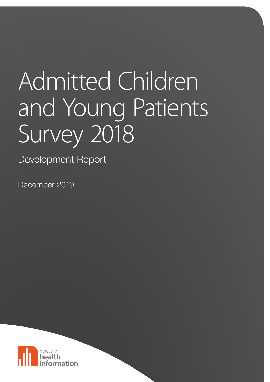# Admitted Children and Young Patients Survey 2018

Development Report

December 2019

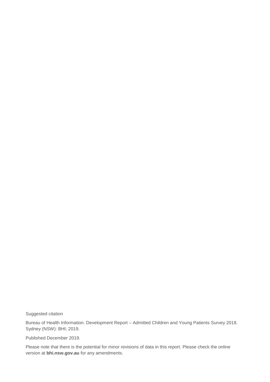Suggested citation

Bureau of Health Information. Development Report – Admitted Children and Young Patients Survey 2018. Sydney (NSW): BHI; 2019.

Published December 2019.

Please note that there is the potential for minor revisions of data in this report. Please check the online version at **[bhi.nsw.gov.au](http://www.bhi.nsw.gov.au/)** for any amendments.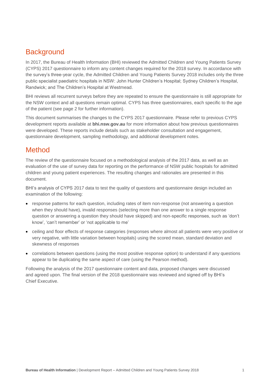## **Background**

In 2017, the Bureau of Health Information (BHI) reviewed the Admitted Children and Young Patients Survey (CYPS) 2017 questionnaire to inform any content changes required for the 2018 survey. In accordance with the survey's three-year cycle, the Admitted Children and Young Patients Survey 2018 includes only the three public specialist paediatric hospitals in NSW: John Hunter Children's Hospital; Sydney Children's Hospital, Randwick; and The Children's Hospital at Westmead.

BHI reviews all recurrent surveys before they are repeated to ensure the questionnaire is still appropriate for the NSW context and all questions remain optimal. CYPS has three questionnaires, each specific to the age of the patient (see page 2 for further information).

This document summarises the changes to the CYPS 2017 questionnaire. Please refer to previous CYPS development reports available at **bhi.nsw.gov.au** for more information about how previous questionnaires were developed. These reports include details such as stakeholder consultation and engagement, questionnaire development, sampling methodology, and additional development notes.

### Method

The review of the questionnaire focused on a methodological analysis of the 2017 data, as well as an evaluation of the use of survey data for reporting on the performance of NSW public hospitals for admitted children and young patient experiences. The resulting changes and rationales are presented in this document.

BHI's analysis of CYPS 2017 data to test the quality of questions and questionnaire design included an examination of the following:

- response patterns for each question, including rates of item non-response (not answering a question when they should have), invalid responses (selecting more than one answer to a single response question or answering a question they should have skipped) and non-specific responses, such as 'don't know', 'can't remember' or 'not applicable to me'
- ceiling and floor effects of response categories (responses where almost all patients were very positive or very negative, with little variation between hospitals) using the scored mean, standard deviation and skewness of responses
- correlations between questions (using the most positive response option) to understand if any questions appear to be duplicating the same aspect of care (using the Pearson method).

Following the analysis of the 2017 questionnaire content and data, proposed changes were discussed and agreed upon. The final version of the 2018 questionnaire was reviewed and signed off by BHI's Chief Executive.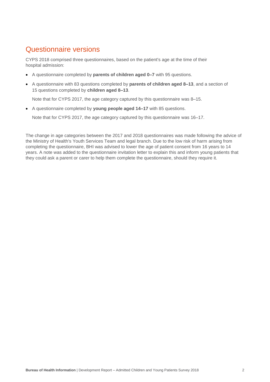## Questionnaire versions

CYPS 2018 comprised three questionnaires, based on the patient's age at the time of their hospital admission:

- A questionnaire completed by **parents of children aged 0–7** with 95 questions.
- A questionnaire with 83 questions completed by **parents of children aged 8–13**, and a section of 15 questions completed by **children aged 8–13**.

Note that for CYPS 2017, the age category captured by this questionnaire was 8–15.

A questionnaire completed by **young people aged 14–17** with 85 questions.

Note that for CYPS 2017, the age category captured by this questionnaire was 16–17.

The change in age categories between the 2017 and 2018 questionnaires was made following the advice of the Ministry of Health's Youth Services Team and legal branch. Due to the low risk of harm arising from completing the questionnaire, BHI was advised to lower the age of patient consent from 16 years to 14 years. A note was added to the questionnaire invitation letter to explain this and inform young patients that they could ask a parent or carer to help them complete the questionnaire, should they require it.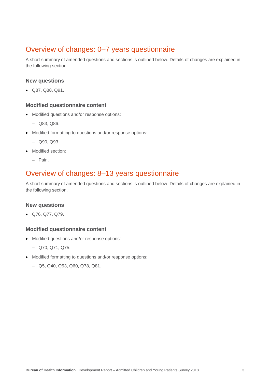## Overview of changes: 0–7 years questionnaire

A short summary of amended questions and sections is outlined below. Details of changes are explained in the following section.

#### **New questions**

Q87, Q88, Q91.

#### **Modified questionnaire content**

- Modified questions and/or response options:
	- Q83, Q86.
- Modified formatting to questions and/or response options:
	- Q90, Q93.
- Modified section:
	- Pain.

## Overview of changes: 8–13 years questionnaire

A short summary of amended questions and sections is outlined below. Details of changes are explained in the following section.

#### **New questions**

Q76, Q77, Q79.

#### **Modified questionnaire content**

- Modified questions and/or response options:
	- Q70, Q71, Q75.
- Modified formatting to questions and/or response options:
	- Q5, Q40, Q53, Q60, Q78, Q81.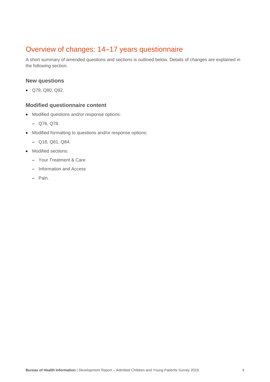# Overview of changes: 14–17 years questionnaire

A short summary of amended questions and sections is outlined below. Details of changes are explained in the following section.

#### **New questions**

Q79, Q80, Q82.

#### **Modified questionnaire content**

- Modified questions and/or response options:
	- Q76, Q78.
- Modified formatting to questions and/or response options:
	- Q18, Q81, Q84.
- Modified sections:
	- Your Treatment & Care
	- Information and Access
	- Pain.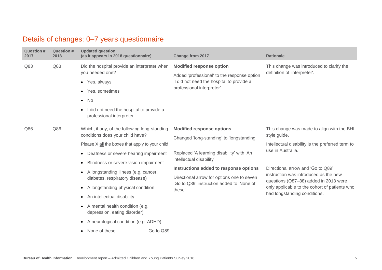# Details of changes: 0–7 years questionnaire

| <b>Question #</b><br>2017 | <b>Question #</b><br>2018 | <b>Updated question</b><br>(as it appears in 2018 questionnaire)                                                                                                                                                                                                                                                                                                            | <b>Change from 2017</b>                                                                                                                                  | <b>Rationale</b>                                                                                                                                                                                     |
|---------------------------|---------------------------|-----------------------------------------------------------------------------------------------------------------------------------------------------------------------------------------------------------------------------------------------------------------------------------------------------------------------------------------------------------------------------|----------------------------------------------------------------------------------------------------------------------------------------------------------|------------------------------------------------------------------------------------------------------------------------------------------------------------------------------------------------------|
| Q83                       | Q83                       | Did the hospital provide an interpreter when<br>you needed one?<br>• Yes, always<br>Yes, sometimes<br>$\bullet$<br>$\bullet$ No<br>I did not need the hospital to provide a<br>$\bullet$<br>professional interpreter                                                                                                                                                        | <b>Modified response option</b><br>Added 'professional' to the response option<br>'I did not need the hospital to provide a<br>professional interpreter' | This change was introduced to clarify the<br>definition of 'interpreter'.                                                                                                                            |
| Q86                       | Q86                       | Which, if any, of the following long-standing<br>conditions does your child have?<br>Please X all the boxes that apply to your child<br>Deafness or severe hearing impairment<br>$\bullet$                                                                                                                                                                                  | <b>Modified response options</b><br>Changed 'long-standing' to 'longstanding'<br>Replaced 'A learning disability' with 'An<br>intellectual disability'   | This change was made to align with the BHI<br>style guide.<br>Intellectual disability is the preferred term to<br>use in Australia.                                                                  |
|                           |                           | Blindness or severe vision impairment<br>$\bullet$<br>A longstanding illness (e.g. cancer,<br>$\bullet$<br>diabetes, respiratory disease)<br>A longstanding physical condition<br>$\bullet$<br>An intellectual disability<br>$\bullet$<br>A mental health condition (e.g.<br>$\bullet$<br>depression, eating disorder)<br>A neurological condition (e.g. ADHD)<br>$\bullet$ | Instructions added to response options<br>Directional arrow for options one to seven<br>'Go to Q89' instruction added to 'None of<br>these'              | Directional arrow and 'Go to Q89'<br>instruction was introduced as the new<br>questions (Q87-88) added in 2018 were<br>only applicable to the cohort of patients who<br>had longstanding conditions. |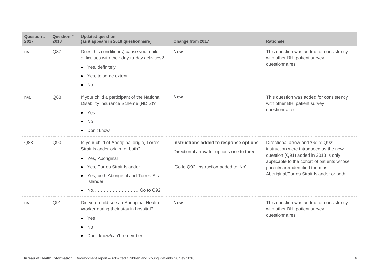| <b>Question #</b><br>2017 | <b>Question #</b><br>2018 | <b>Updated question</b><br>(as it appears in 2018 questionnaire)                                                                                                                             | Change from 2017                                                                                                              | <b>Rationale</b>                                                                                                                                                                                                                                   |
|---------------------------|---------------------------|----------------------------------------------------------------------------------------------------------------------------------------------------------------------------------------------|-------------------------------------------------------------------------------------------------------------------------------|----------------------------------------------------------------------------------------------------------------------------------------------------------------------------------------------------------------------------------------------------|
| n/a                       | Q87                       | Does this condition(s) cause your child<br>difficulties with their day-to-day activities?<br>• Yes, definitely<br>• Yes, to some extent<br>$\bullet$ No                                      | <b>New</b>                                                                                                                    | This question was added for consistency<br>with other BHI patient survey<br>questionnaires.                                                                                                                                                        |
| n/a                       | Q88                       | If your child a participant of the National<br>Disability Insurance Scheme (NDIS)?<br>$\bullet$ Yes<br>No<br>$\bullet$<br>• Don't know                                                       | <b>New</b>                                                                                                                    | This question was added for consistency<br>with other BHI patient survey<br>questionnaires.                                                                                                                                                        |
| Q88                       | Q90                       | Is your child of Aboriginal origin, Torres<br>Strait Islander origin, or both?<br>• Yes, Aboriginal<br>• Yes, Torres Strait Islander<br>• Yes, both Aboriginal and Torres Strait<br>Islander | Instructions added to response options<br>Directional arrow for options one to three<br>'Go to Q92' instruction added to 'No' | Directional arrow and 'Go to Q92'<br>instruction were introduced as the new<br>question (Q91) added in 2018 is only<br>applicable to the cohort of patients whose<br>parent/carer identified them as<br>Aboriginal/Torres Strait Islander or both. |
| n/a                       | Q91                       | Did your child see an Aboriginal Health<br>Worker during their stay in hospital?<br>$\bullet$ Yes<br>No<br>$\bullet$<br>Don't know/can't remember                                            | <b>New</b>                                                                                                                    | This question was added for consistency<br>with other BHI patient survey<br>questionnaires.                                                                                                                                                        |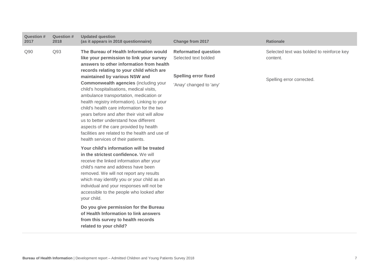| Question #<br>2017 | <b>Question #</b><br>2018 | <b>Updated question</b><br>(as it appears in 2018 questionnaire)                                                                                                                                                                                                                                                                                                                                                                                                                                                                                                                                                                                                                 | Change from 2017                                                                                              | <b>Rationale</b>                                                                   |
|--------------------|---------------------------|----------------------------------------------------------------------------------------------------------------------------------------------------------------------------------------------------------------------------------------------------------------------------------------------------------------------------------------------------------------------------------------------------------------------------------------------------------------------------------------------------------------------------------------------------------------------------------------------------------------------------------------------------------------------------------|---------------------------------------------------------------------------------------------------------------|------------------------------------------------------------------------------------|
| Q90                | Q93                       | The Bureau of Health Information would<br>like your permission to link your survey<br>answers to other information from health<br>records relating to your child which are<br>maintained by various NSW and<br><b>Commonwealth agencies (including your</b><br>child's hospitalisations, medical visits,<br>ambulance transportation, medication or<br>health registry information). Linking to your<br>child's health care information for the two<br>years before and after their visit will allow<br>us to better understand how different<br>aspects of the care provided by health<br>facilities are related to the health and use of<br>health services of their patients. | <b>Reformatted question</b><br>Selected text bolded<br><b>Spelling error fixed</b><br>'Anay' changed to 'any' | Selected text was bolded to reinforce key<br>content.<br>Spelling error corrected. |
|                    |                           | Your child's information will be treated<br>in the strictest confidence. We will<br>receive the linked information after your<br>child's name and address have been<br>removed. We will not report any results<br>which may identify you or your child as an<br>individual and your responses will not be<br>accessible to the people who looked after<br>your child.<br>Do you give permission for the Bureau<br>of Health Information to link answers<br>from this survey to health records<br>related to your child?                                                                                                                                                          |                                                                                                               |                                                                                    |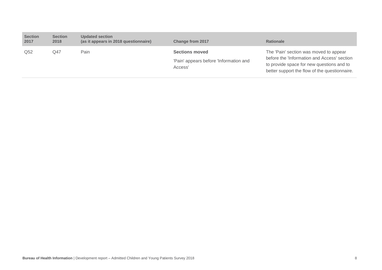| <b>Section</b><br>2017 | <b>Section</b><br>2018 | <b>Updated section</b><br>(as it appears in 2018 questionnaire) | <b>Change from 2017</b>                                                    | <b>Rationale</b>                                                                                                                                                                    |
|------------------------|------------------------|-----------------------------------------------------------------|----------------------------------------------------------------------------|-------------------------------------------------------------------------------------------------------------------------------------------------------------------------------------|
| Q <sub>52</sub>        | Q47                    | Pain                                                            | <b>Sections moved</b><br>'Pain' appears before 'Information and<br>Access' | The 'Pain' section was moved to appear<br>before the 'Information and Access' section<br>to provide space for new questions and to<br>better support the flow of the questionnaire. |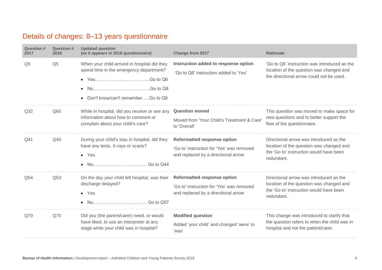# Details of changes: 8–13 years questionnaire

| Question #<br>2017 | Question #<br>2018 | <b>Updated question</b><br>(as it appears in 2018 questionnaire)                                                                          | <b>Change from 2017</b>                                                                                                | <b>Rationale</b>                                                                                                                             |
|--------------------|--------------------|-------------------------------------------------------------------------------------------------------------------------------------------|------------------------------------------------------------------------------------------------------------------------|----------------------------------------------------------------------------------------------------------------------------------------------|
| Q <sub>5</sub>     | Q <sub>5</sub>     | When your child arrived in hospital did they<br>spend time in the emergency department?<br>Don't know/can't rememberGo to Q8<br>$\bullet$ | Instruction added to response option<br>'Go to Q6' instruction added to 'Yes'                                          | 'Go to Q6' instruction was introduced as the<br>location of the question was changed and<br>the directional arrow could not be used.         |
| Q <sub>32</sub>    | Q60                | While in hospital, did you receive or see any<br>information about how to comment or<br>complain about your child's care?                 | <b>Question moved</b><br>Moved from 'Your Child's Treatment & Care'<br>to 'Overall'                                    | This question was moved to make space for<br>new questions and to better support the<br>flow of the questionnaire.                           |
| Q41                | Q40                | During your child's stay in hospital, did they<br>have any tests, X-rays or scans?<br>$\bullet$ Yes                                       | <b>Reformatted response option</b><br>'Go to' instruction for 'Yes' was removed<br>and replaced by a directional arrow | Directional arrow was introduced as the<br>location of the question was changed and<br>the 'Go to' instruction would have been<br>redundant. |
| Q54                | Q53                | On the day your child left hospital, was their<br>discharge delayed?<br>$\bullet$ Yes<br>$\bullet$                                        | <b>Reformatted response option</b><br>'Go to' instruction for 'Yes' was removed<br>and replaced by a directional arrow | Directional arrow was introduced as the<br>location of the question was changed and<br>the 'Go to' instruction would have been<br>redundant. |
| Q70                | Q70                | Did you (the parent/carer) need, or would<br>have liked, to use an interpreter at any<br>stage while your child was in hospital?          | <b>Modified question</b><br>Added 'your child' and changed 'were' to<br>'was'                                          | This change was introduced to clarify that<br>the question refers to when the child was in<br>hospital and not the patient/carer.            |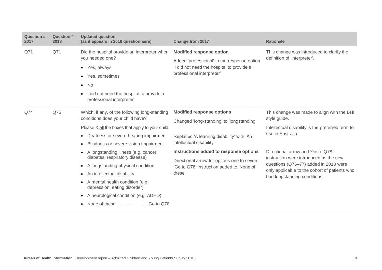| <b>Question #</b><br>2017 | <b>Question #</b><br>2018 | <b>Updated question</b><br>(as it appears in 2018 questionnaire)                                                                                                                                                                                                               | Change from 2017                                                                                                                                         | <b>Rationale</b>                                                                                                                                                                                      |
|---------------------------|---------------------------|--------------------------------------------------------------------------------------------------------------------------------------------------------------------------------------------------------------------------------------------------------------------------------|----------------------------------------------------------------------------------------------------------------------------------------------------------|-------------------------------------------------------------------------------------------------------------------------------------------------------------------------------------------------------|
| Q71                       | Q71                       | Did the hospital provide an interpreter when<br>you needed one?<br>• Yes, always<br>• Yes, sometimes<br>No<br>$\bullet$<br>I did not need the hospital to provide a<br>professional interpreter                                                                                | <b>Modified response option</b><br>Added 'professional' to the response option<br>'I did not need the hospital to provide a<br>professional interpreter' | This change was introduced to clarify the<br>definition of 'interpreter'.                                                                                                                             |
| Q74                       | Q75                       | Which, if any, of the following long-standing<br>conditions does your child have?<br>Please X all the boxes that apply to your child<br>Deafness or severe hearing impairment<br>$\bullet$<br>Blindness or severe vision impairment                                            | <b>Modified response options</b><br>Changed 'long-standing' to 'longstanding'<br>Replaced 'A learning disability' with 'An<br>intellectual disability'   | This change was made to align with the BHI<br>style guide.<br>Intellectual disability is the preferred term to<br>use in Australia.                                                                   |
|                           |                           | A longstanding illness (e.g. cancer,<br>diabetes, respiratory disease)<br>A longstanding physical condition<br>An intellectual disability<br>$\bullet$<br>A mental health condition (e.g.<br>depression, eating disorder)<br>A neurological condition (e.g. ADHD)<br>$\bullet$ | Instructions added to response options<br>Directional arrow for options one to seven<br>'Go to Q78' instruction added to 'None of<br>these'              | Directional arrow and 'Go to Q78'<br>instruction were introduced as the new<br>questions (Q76-77) added in 2018 were<br>only applicable to the cohort of patients who<br>had longstanding conditions. |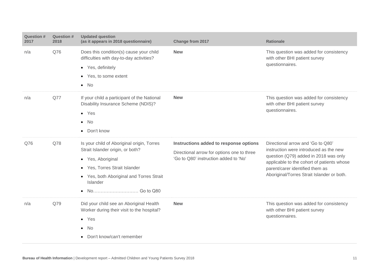| <b>Question #</b><br>2017 | <b>Question #</b><br>2018 | <b>Updated question</b><br>(as it appears in 2018 questionnaire)                                                                                                                             | Change from 2017                                                                                                              | <b>Rationale</b>                                                                                                                                                                                                                                    |
|---------------------------|---------------------------|----------------------------------------------------------------------------------------------------------------------------------------------------------------------------------------------|-------------------------------------------------------------------------------------------------------------------------------|-----------------------------------------------------------------------------------------------------------------------------------------------------------------------------------------------------------------------------------------------------|
| n/a                       | Q76                       | Does this condition(s) cause your child<br>difficulties with day-to-day activities?<br>• Yes, definitely<br>Yes, to some extent<br>$\bullet$<br>$\bullet$ No                                 | <b>New</b>                                                                                                                    | This question was added for consistency<br>with other BHI patient survey<br>questionnaires.                                                                                                                                                         |
| n/a                       | Q77                       | If your child a participant of the National<br>Disability Insurance Scheme (NDIS)?<br>$\bullet$ Yes<br>- No<br>$\bullet$<br>• Don't know                                                     | <b>New</b>                                                                                                                    | This question was added for consistency<br>with other BHI patient survey<br>questionnaires.                                                                                                                                                         |
| Q76                       | Q78                       | Is your child of Aboriginal origin, Torres<br>Strait Islander origin, or both?<br>• Yes, Aboriginal<br>• Yes, Torres Strait Islander<br>• Yes, both Aboriginal and Torres Strait<br>Islander | Instructions added to response options<br>Directional arrow for options one to three<br>'Go to Q80' instruction added to 'No' | Directional arrow and 'Go to Q80'<br>instruction were introduced as the new<br>question (Q79) added in 2018 was only<br>applicable to the cohort of patients whose<br>parent/carer identified them as<br>Aboriginal/Torres Strait Islander or both. |
| n/a                       | Q79                       | Did your child see an Aboriginal Health<br>Worker during their visit to the hospital?<br>$\bullet$ Yes<br>No<br>$\bullet$<br>Don't know/can't remember                                       | <b>New</b>                                                                                                                    | This question was added for consistency<br>with other BHI patient survey<br>questionnaires.                                                                                                                                                         |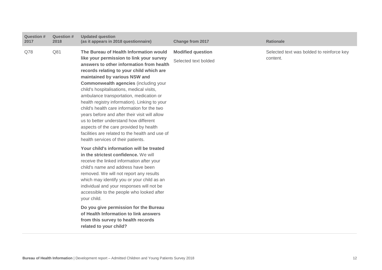| <b>Question #</b><br>2017 | <b>Question #</b><br>2018 | <b>Updated question</b><br>(as it appears in 2018 questionnaire)                                                                                                                                                                                                                                                                                                                                                                                                                                                                                                                                                                                                                 | <b>Change from 2017</b>                          | <b>Rationale</b>                                      |
|---------------------------|---------------------------|----------------------------------------------------------------------------------------------------------------------------------------------------------------------------------------------------------------------------------------------------------------------------------------------------------------------------------------------------------------------------------------------------------------------------------------------------------------------------------------------------------------------------------------------------------------------------------------------------------------------------------------------------------------------------------|--------------------------------------------------|-------------------------------------------------------|
| Q78                       | Q81                       | The Bureau of Health Information would<br>like your permission to link your survey<br>answers to other information from health<br>records relating to your child which are<br>maintained by various NSW and<br><b>Commonwealth agencies (including your</b><br>child's hospitalisations, medical visits,<br>ambulance transportation, medication or<br>health registry information). Linking to your<br>child's health care information for the two<br>years before and after their visit will allow<br>us to better understand how different<br>aspects of the care provided by health<br>facilities are related to the health and use of<br>health services of their patients. | <b>Modified question</b><br>Selected text bolded | Selected text was bolded to reinforce key<br>content. |
|                           |                           | Your child's information will be treated<br>in the strictest confidence. We will<br>receive the linked information after your<br>child's name and address have been<br>removed. We will not report any results<br>which may identify you or your child as an<br>individual and your responses will not be<br>accessible to the people who looked after<br>your child.<br>Do you give permission for the Bureau<br>of Health Information to link answers<br>from this survey to health records<br>related to your child?                                                                                                                                                          |                                                  |                                                       |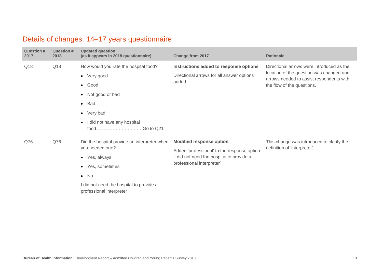# Details of changes: 14–17 years questionnaire

| <b>Question #</b><br>2017 | <b>Question #</b><br>2018 | <b>Updated question</b><br>(as it appears in 2018 questionnaire)                                                                                                                                        | <b>Change from 2017</b>                                                                                                                                  | <b>Rationale</b>                                                                                                                                                |
|---------------------------|---------------------------|---------------------------------------------------------------------------------------------------------------------------------------------------------------------------------------------------------|----------------------------------------------------------------------------------------------------------------------------------------------------------|-----------------------------------------------------------------------------------------------------------------------------------------------------------------|
| Q18                       | Q18                       | How would you rate the hospital food?<br>• Very good<br>$\bullet$ Good<br>Not good or bad<br>$\bullet$<br>$\bullet$ Bad<br>• Very bad<br>I did not have any hospital<br>$\bullet$                       | Instructions added to response options<br>Directional arrows for all answer options<br>added                                                             | Directional arrows were introduced as the<br>location of the question was changed and<br>arrows needed to assist respondents with<br>the flow of the questions. |
| Q76                       | Q76                       | Did the hospital provide an interpreter when<br>you needed one?<br>• Yes, always<br>Yes, sometimes<br>$\bullet$<br>$\bullet$ No<br>I did not need the hospital to provide a<br>professional interpreter | <b>Modified response option</b><br>Added 'professional' to the response option<br>'I did not need the hospital to provide a<br>professional interpreter' | This change was introduced to clarify the<br>definition of 'interpreter'.                                                                                       |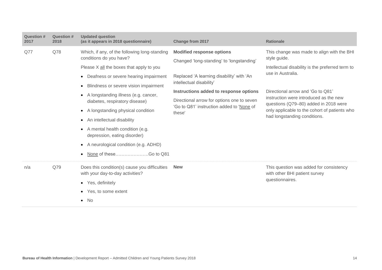| <b>Question #</b><br>2017 | <b>Question #</b><br>2018 | <b>Updated question</b><br>(as it appears in 2018 questionnaire)                                                                                                                                                                                                                                                                                                                                                                              | Change from 2017                                                                                                                                                                                                                                                                                      | <b>Rationale</b>                                                                                                                                                                                                                                                                                                                             |
|---------------------------|---------------------------|-----------------------------------------------------------------------------------------------------------------------------------------------------------------------------------------------------------------------------------------------------------------------------------------------------------------------------------------------------------------------------------------------------------------------------------------------|-------------------------------------------------------------------------------------------------------------------------------------------------------------------------------------------------------------------------------------------------------------------------------------------------------|----------------------------------------------------------------------------------------------------------------------------------------------------------------------------------------------------------------------------------------------------------------------------------------------------------------------------------------------|
| Q77                       | Q78                       | Which, if any, of the following long-standing<br>conditions do you have?<br>Please X all the boxes that apply to you<br>• Deafness or severe hearing impairment<br>• Blindness or severe vision impairment<br>• A longstanding illness (e.g. cancer,<br>diabetes, respiratory disease)<br>• A longstanding physical condition<br>An intellectual disability<br>$\bullet$<br>• A mental health condition (e.g.<br>depression, eating disorder) | <b>Modified response options</b><br>Changed 'long-standing' to 'longstanding'<br>Replaced 'A learning disability' with 'An<br>intellectual disability'<br>Instructions added to response options<br>Directional arrow for options one to seven<br>'Go to Q81' instruction added to 'None of<br>these' | This change was made to align with the BHI<br>style guide.<br>Intellectual disability is the preferred term to<br>use in Australia.<br>Directional arrow and 'Go to Q81'<br>instruction were introduced as the new<br>questions (Q79–80) added in 2018 were<br>only applicable to the cohort of patients who<br>had longstanding conditions. |
| n/a                       | Q79                       | • A neurological condition (e.g. ADHD)<br>Does this condition(s) cause you difficulties<br>with your day-to-day activities?<br>• Yes, definitely<br>Yes, to some extent<br>No<br>$\bullet$                                                                                                                                                                                                                                                    | <b>New</b>                                                                                                                                                                                                                                                                                            | This question was added for consistency<br>with other BHI patient survey<br>questionnaires.                                                                                                                                                                                                                                                  |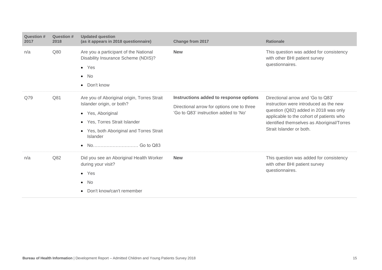| Question #<br>2017 | Question #<br>2018 | <b>Updated question</b><br>(as it appears in 2018 questionnaire)                                                                                                                                    | <b>Change from 2017</b>                                                                                                       | <b>Rationale</b>                                                                                                                                                                                                                           |
|--------------------|--------------------|-----------------------------------------------------------------------------------------------------------------------------------------------------------------------------------------------------|-------------------------------------------------------------------------------------------------------------------------------|--------------------------------------------------------------------------------------------------------------------------------------------------------------------------------------------------------------------------------------------|
| n/a                | Q80                | Are you a participant of the National<br>Disability Insurance Scheme (NDIS)?<br>$\bullet$ Yes<br>$\bullet$ No<br>• Don't know                                                                       | <b>New</b>                                                                                                                    | This question was added for consistency<br>with other BHI patient survey<br>questionnaires.                                                                                                                                                |
| Q79                | Q81                | Are you of Aboriginal origin, Torres Strait<br>Islander origin, or both?<br>• Yes, Aboriginal<br>• Yes, Torres Strait Islander<br>• Yes, both Aboriginal and Torres Strait<br>Islander<br>$\bullet$ | Instructions added to response options<br>Directional arrow for options one to three<br>'Go to Q83' instruction added to 'No' | Directional arrow and 'Go to Q83'<br>instruction were introduced as the new<br>question (Q82) added in 2018 was only<br>applicable to the cohort of patients who<br>identified themselves as Aboriginal/Torres<br>Strait Islander or both. |
| n/a                | Q82                | Did you see an Aboriginal Health Worker<br>during your visit?<br>$\bullet$ Yes<br>$\bullet$ No<br>Don't know/can't remember<br>$\bullet$                                                            | <b>New</b>                                                                                                                    | This question was added for consistency<br>with other BHI patient survey<br>questionnaires.                                                                                                                                                |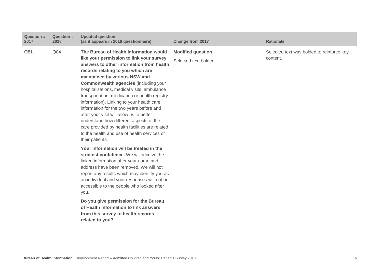| <b>Question #</b><br>2017 | <b>Question #</b><br>2018 | <b>Updated question</b><br>(as it appears in 2018 questionnaire)                                                                                                                                                                                                                                                                                                                                                                                                                                                                                                                                                                                         | <b>Change from 2017</b>                          | <b>Rationale</b>                                      |
|---------------------------|---------------------------|----------------------------------------------------------------------------------------------------------------------------------------------------------------------------------------------------------------------------------------------------------------------------------------------------------------------------------------------------------------------------------------------------------------------------------------------------------------------------------------------------------------------------------------------------------------------------------------------------------------------------------------------------------|--------------------------------------------------|-------------------------------------------------------|
| Q81                       | Q84                       | The Bureau of Health Information would<br>like your permission to link your survey<br>answers to other information from health<br>records relating to you which are<br>maintained by various NSW and<br><b>Commonwealth agencies (including your</b><br>hospitalisations, medical visits, ambulance<br>transportation, medication or health registry<br>information). Linking to your health care<br>information for the two years before and<br>after your visit will allow us to better<br>understand how different aspects of the<br>care provided by health facilities are related<br>to the health and use of health services of<br>their patients. | <b>Modified question</b><br>Selected text bolded | Selected text was bolded to reinforce key<br>content. |
|                           |                           | Your information will be treated in the<br>strictest confidence. We will receive the<br>linked information after your name and<br>address have been removed. We will not<br>report any results which may identify you as<br>an individual and your responses will not be<br>accessible to the people who looked after<br>you.<br>Do you give permission for the Bureau<br>of Health Information to link answers<br>from this survey to health records<br>related to you?                                                                                                                                                                                 |                                                  |                                                       |